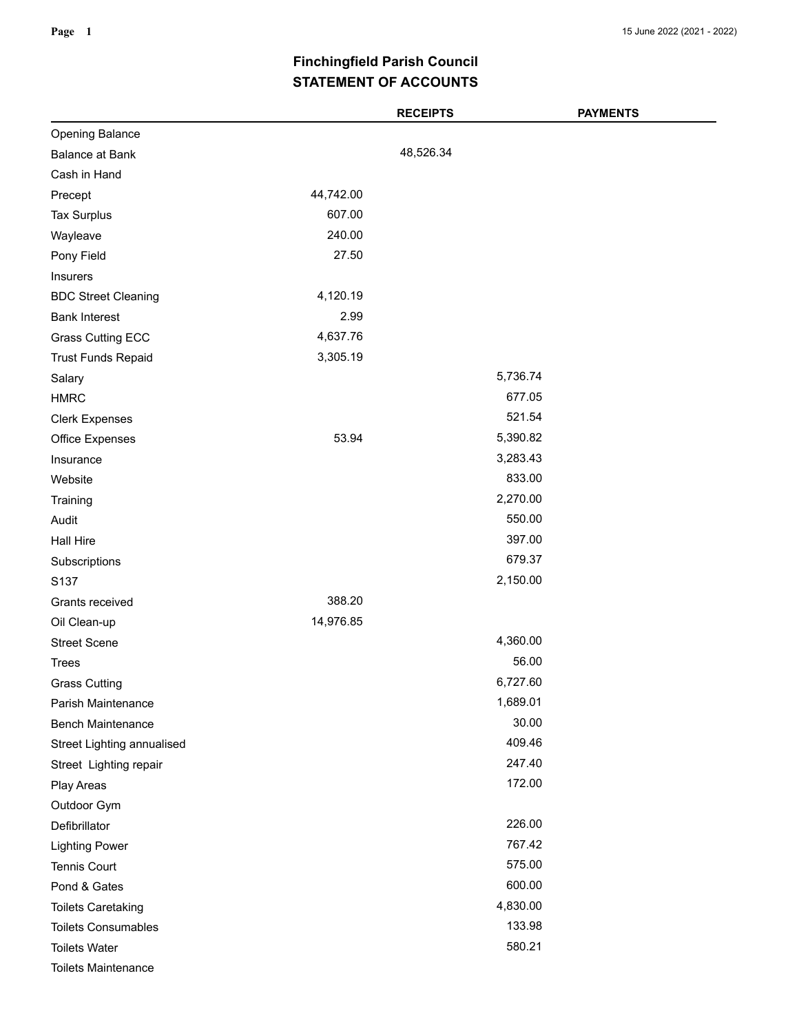## **STATEMENT OF ACCOUNTS Finchingfield Parish Council**

|                            |           | <b>RECEIPTS</b> | <b>PAYMENTS</b> |
|----------------------------|-----------|-----------------|-----------------|
| <b>Opening Balance</b>     |           |                 |                 |
| <b>Balance at Bank</b>     |           | 48,526.34       |                 |
| Cash in Hand               |           |                 |                 |
| Precept                    | 44,742.00 |                 |                 |
| <b>Tax Surplus</b>         | 607.00    |                 |                 |
| Wayleave                   | 240.00    |                 |                 |
| Pony Field                 | 27.50     |                 |                 |
| Insurers                   |           |                 |                 |
| <b>BDC Street Cleaning</b> | 4,120.19  |                 |                 |
| <b>Bank Interest</b>       | 2.99      |                 |                 |
| <b>Grass Cutting ECC</b>   | 4,637.76  |                 |                 |
| <b>Trust Funds Repaid</b>  | 3,305.19  |                 |                 |
| Salary                     |           | 5,736.74        |                 |
| <b>HMRC</b>                |           |                 | 677.05          |
| <b>Clerk Expenses</b>      |           |                 | 521.54          |
| Office Expenses            | 53.94     | 5,390.82        |                 |
| Insurance                  |           | 3,283.43        |                 |
| Website                    |           |                 | 833.00          |
| Training                   |           | 2,270.00        |                 |
| Audit                      |           |                 | 550.00          |
| Hall Hire                  |           |                 | 397.00          |
| Subscriptions              |           |                 | 679.37          |
| S <sub>137</sub>           |           | 2,150.00        |                 |
| Grants received            | 388.20    |                 |                 |
| Oil Clean-up               | 14,976.85 |                 |                 |
| <b>Street Scene</b>        |           | 4,360.00        |                 |
| <b>Trees</b>               |           |                 | 56.00           |
| <b>Grass Cutting</b>       |           | 6,727.60        |                 |
| Parish Maintenance         |           | 1,689.01        |                 |
| <b>Bench Maintenance</b>   |           |                 | 30.00           |
| Street Lighting annualised |           |                 | 409.46          |
| Street Lighting repair     |           |                 | 247.40          |
| Play Areas                 |           |                 | 172.00          |
| Outdoor Gym                |           |                 |                 |
| Defibrillator              |           |                 | 226.00          |
| <b>Lighting Power</b>      |           |                 | 767.42          |
| <b>Tennis Court</b>        |           |                 | 575.00          |
| Pond & Gates               |           |                 | 600.00          |
| <b>Toilets Caretaking</b>  |           | 4,830.00        |                 |
| <b>Toilets Consumables</b> |           |                 | 133.98          |
| <b>Toilets Water</b>       |           |                 | 580.21          |
| <b>Toilets Maintenance</b> |           |                 |                 |